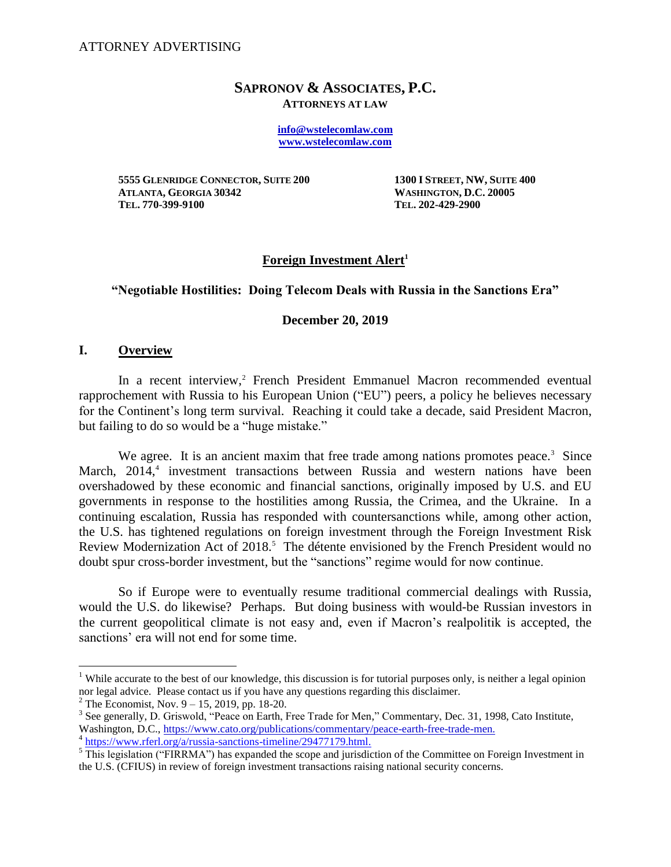### **SAPRONOV & ASSOCIATES, P.C. ATTORNEYS AT LAW**

**[info@wstelecomlaw.com](mailto:info@wstelecomlaw.com) [www.wstelecomlaw.com](http://www.wstelecomlaw.com/)**

**5555 GLENRIDGE CONNECTOR, SUITE 200 1300 I STREET, NW, SUITE 400 ATLANTA, GEORGIA 30342 WASHINGTON, D.C. 20005 TEL. 770-399-9100 TEL. 202-429-2900**

# **Foreign Investment Alert<sup>1</sup>**

# **"Negotiable Hostilities: Doing Telecom Deals with Russia in the Sanctions Era"**

#### **December 20, 2019**

#### **I. Overview**

 $\overline{a}$ 

In a recent interview,<sup>2</sup> French President Emmanuel Macron recommended eventual rapprochement with Russia to his European Union ("EU") peers, a policy he believes necessary for the Continent's long term survival. Reaching it could take a decade, said President Macron, but failing to do so would be a "huge mistake."

We agree. It is an ancient maxim that free trade among nations promotes peace.<sup>3</sup> Since March, 2014,<sup>4</sup> investment transactions between Russia and western nations have been overshadowed by these economic and financial sanctions, originally imposed by U.S. and EU governments in response to the hostilities among Russia, the Crimea, and the Ukraine. In a continuing escalation, Russia has responded with countersanctions while, among other action, the U.S. has tightened regulations on foreign investment through the Foreign Investment Risk Review Modernization Act of 2018.<sup>5</sup> The détente envisioned by the French President would no doubt spur cross-border investment, but the "sanctions" regime would for now continue.

So if Europe were to eventually resume traditional commercial dealings with Russia, would the U.S. do likewise? Perhaps. But doing business with would-be Russian investors in the current geopolitical climate is not easy and, even if Macron's realpolitik is accepted, the sanctions' era will not end for some time.

<sup>&</sup>lt;sup>1</sup> While accurate to the best of our knowledge, this discussion is for tutorial purposes only, is neither a legal opinion nor legal advice. Please contact us if you have any questions regarding this disclaimer.

 $^{2}$  The Economist, Nov. 9 – 15, 2019, pp. 18-20.

<sup>&</sup>lt;sup>3</sup> See generally, D. Griswold, "Peace on Earth, Free Trade for Men," Commentary, Dec. 31, 1998, Cato Institute, Washington, D.C., [https://www.cato.org/publications/commentary/peace-earth-free-trade-men.](https://www.cato.org/publications/commentary/peace-earth-free-trade-men)

<sup>&</sup>lt;sup>4</sup> [https://www.rferl.org/a/russia-sanctions-timeline/29477179.html.](https://www.rferl.org/a/russia-sanctions-timeline/29477179.html)

<sup>&</sup>lt;sup>5</sup> This legislation ("FIRRMA") has expanded the scope and jurisdiction of the Committee on Foreign Investment in the U.S. (CFIUS) in review of foreign investment transactions raising national security concerns.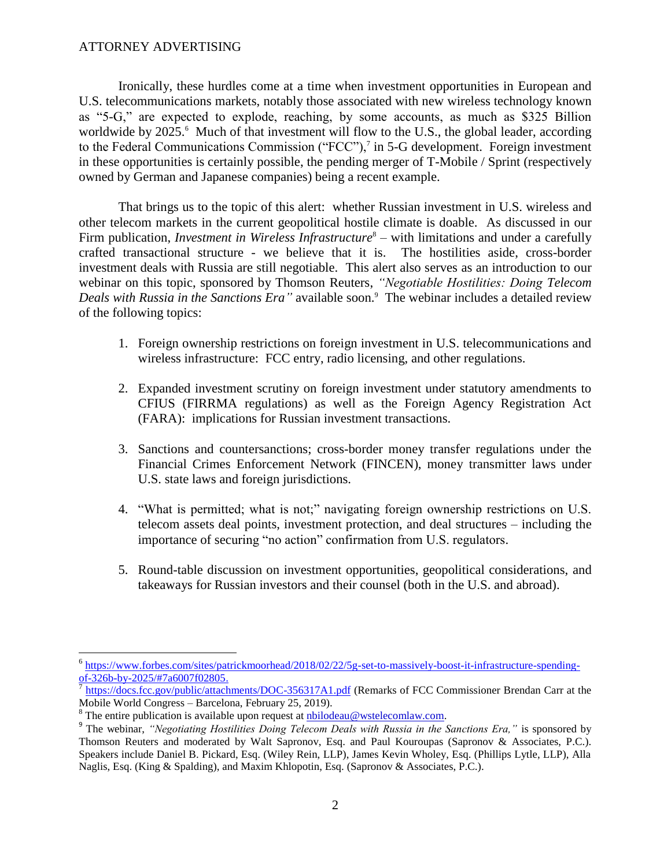### ATTORNEY ADVERTISING

Ironically, these hurdles come at a time when investment opportunities in European and U.S. telecommunications markets, notably those associated with new wireless technology known as "5-G," are expected to explode, reaching, by some accounts, as much as \$325 Billion worldwide by 2025.<sup>6</sup> Much of that investment will flow to the U.S., the global leader, according to the Federal Communications Commission ("FCC"),<sup>7</sup> in 5-G development. Foreign investment in these opportunities is certainly possible, the pending merger of T-Mobile / Sprint (respectively owned by German and Japanese companies) being a recent example.

That brings us to the topic of this alert: whether Russian investment in U.S. wireless and other telecom markets in the current geopolitical hostile climate is doable. As discussed in our Firm publication, *Investment in Wireless Infrastructure*<sup>8</sup> – with limitations and under a carefully crafted transactional structure - we believe that it is. The hostilities aside, cross-border investment deals with Russia are still negotiable. This alert also serves as an introduction to our webinar on this topic, sponsored by Thomson Reuters, *"Negotiable Hostilities: Doing Telecom Deals with Russia in the Sanctions Era"* available soon. 9 The webinar includes a detailed review of the following topics:

- 1. Foreign ownership restrictions on foreign investment in U.S. telecommunications and wireless infrastructure: FCC entry, radio licensing, and other regulations.
- 2. Expanded investment scrutiny on foreign investment under statutory amendments to CFIUS (FIRRMA regulations) as well as the Foreign Agency Registration Act (FARA): implications for Russian investment transactions.
- 3. Sanctions and countersanctions; cross-border money transfer regulations under the Financial Crimes Enforcement Network (FINCEN), money transmitter laws under U.S. state laws and foreign jurisdictions.
- 4. "What is permitted; what is not;" navigating foreign ownership restrictions on U.S. telecom assets deal points, investment protection, and deal structures – including the importance of securing "no action" confirmation from U.S. regulators.
- 5. Round-table discussion on investment opportunities, geopolitical considerations, and takeaways for Russian investors and their counsel (both in the U.S. and abroad).

 $\overline{a}$ 

<sup>&</sup>lt;sup>6</sup> [https://www.forbes.com/sites/patrickmoorhead/2018/02/22/5g-set-to-massively-boost-it-infrastructure-spending](https://www.forbes.com/sites/patrickmoorhead/2018/02/22/5g-set-to-massively-boost-it-infrastructure-spending-of-326b-by-2025/#7a6007f02805)[of-326b-by-2025/#7a6007f02805.](https://www.forbes.com/sites/patrickmoorhead/2018/02/22/5g-set-to-massively-boost-it-infrastructure-spending-of-326b-by-2025/#7a6007f02805)

<https://docs.fcc.gov/public/attachments/DOC-356317A1.pdf> (Remarks of FCC Commissioner Brendan Carr at the Mobile World Congress – Barcelona, February 25, 2019).

 $8$  The entire publication is available upon request at nbilodeau@wstelecomlaw.com.

<sup>&</sup>lt;sup>9</sup> The webinar, *"Negotiating Hostilities Doing Telecom Deals with Russia in the Sanctions Era," is sponsored by* Thomson Reuters and moderated by Walt Sapronov, Esq. and Paul Kouroupas (Sapronov & Associates, P.C.). Speakers include Daniel B. Pickard, Esq. (Wiley Rein, LLP), James Kevin Wholey, Esq. (Phillips Lytle, LLP), Alla Naglis, Esq. (King & Spalding), and Maxim Khlopotin, Esq. (Sapronov & Associates, P.C.).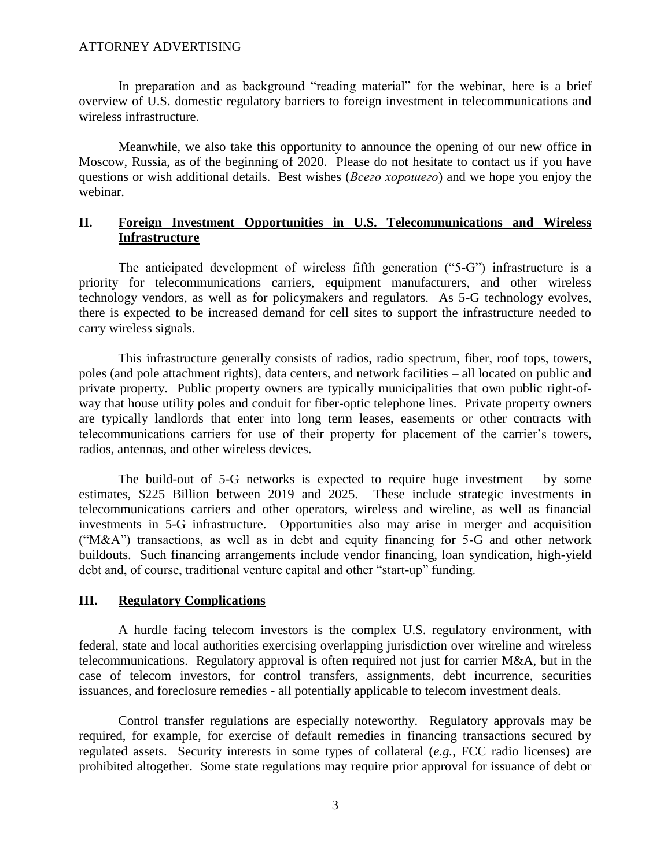### ATTORNEY ADVERTISING

In preparation and as background "reading material" for the webinar, here is a brief overview of U.S. domestic regulatory barriers to foreign investment in telecommunications and wireless infrastructure.

Meanwhile, we also take this opportunity to announce the opening of our new office in Moscow, Russia, as of the beginning of 2020. Please do not hesitate to contact us if you have questions or wish additional details. Best wishes (*Всего хорошего*) and we hope you enjoy the webinar.

# **II. Foreign Investment Opportunities in U.S. Telecommunications and Wireless Infrastructure**

The anticipated development of wireless fifth generation ("5-G") infrastructure is a priority for telecommunications carriers, equipment manufacturers, and other wireless technology vendors, as well as for policymakers and regulators. As 5-G technology evolves, there is expected to be increased demand for cell sites to support the infrastructure needed to carry wireless signals.

This infrastructure generally consists of radios, radio spectrum, fiber, roof tops, towers, poles (and pole attachment rights), data centers, and network facilities – all located on public and private property. Public property owners are typically municipalities that own public right-ofway that house utility poles and conduit for fiber-optic telephone lines. Private property owners are typically landlords that enter into long term leases, easements or other contracts with telecommunications carriers for use of their property for placement of the carrier's towers, radios, antennas, and other wireless devices.

The build-out of 5-G networks is expected to require huge investment – by some estimates, \$225 Billion between 2019 and 2025. These include strategic investments in telecommunications carriers and other operators, wireless and wireline, as well as financial investments in 5-G infrastructure. Opportunities also may arise in merger and acquisition ("M&A") transactions, as well as in debt and equity financing for 5-G and other network buildouts. Such financing arrangements include vendor financing, loan syndication, high-yield debt and, of course, traditional venture capital and other "start-up" funding.

# **III. Regulatory Complications**

A hurdle facing telecom investors is the complex U.S. regulatory environment, with federal, state and local authorities exercising overlapping jurisdiction over wireline and wireless telecommunications. Regulatory approval is often required not just for carrier M&A, but in the case of telecom investors, for control transfers, assignments, debt incurrence, securities issuances, and foreclosure remedies - all potentially applicable to telecom investment deals.

Control transfer regulations are especially noteworthy. Regulatory approvals may be required, for example, for exercise of default remedies in financing transactions secured by regulated assets. Security interests in some types of collateral (*e.g.*, FCC radio licenses) are prohibited altogether. Some state regulations may require prior approval for issuance of debt or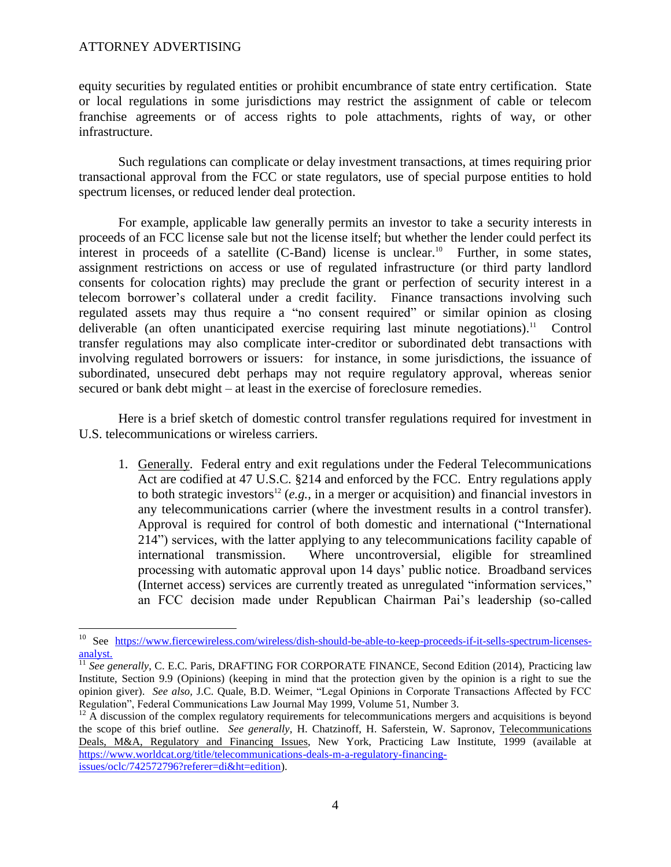### ATTORNEY ADVERTISING

 $\overline{a}$ 

equity securities by regulated entities or prohibit encumbrance of state entry certification. State or local regulations in some jurisdictions may restrict the assignment of cable or telecom franchise agreements or of access rights to pole attachments, rights of way, or other infrastructure.

Such regulations can complicate or delay investment transactions, at times requiring prior transactional approval from the FCC or state regulators, use of special purpose entities to hold spectrum licenses, or reduced lender deal protection.

For example, applicable law generally permits an investor to take a security interests in proceeds of an FCC license sale but not the license itself; but whether the lender could perfect its interest in proceeds of a satellite  $(C$ -Band) license is unclear.<sup>10</sup> Further, in some states, assignment restrictions on access or use of regulated infrastructure (or third party landlord consents for colocation rights) may preclude the grant or perfection of security interest in a telecom borrower's collateral under a credit facility. Finance transactions involving such regulated assets may thus require a "no consent required" or similar opinion as closing deliverable (an often unanticipated exercise requiring last minute negotiations).<sup>11</sup> Control transfer regulations may also complicate inter-creditor or subordinated debt transactions with involving regulated borrowers or issuers: for instance, in some jurisdictions, the issuance of subordinated, unsecured debt perhaps may not require regulatory approval, whereas senior secured or bank debt might – at least in the exercise of foreclosure remedies.

Here is a brief sketch of domestic control transfer regulations required for investment in U.S. telecommunications or wireless carriers.

1. Generally. Federal entry and exit regulations under the Federal Telecommunications Act are codified at 47 U.S.C. §214 and enforced by the FCC. Entry regulations apply to both strategic investors<sup>12</sup> (*e.g.*, in a merger or acquisition) and financial investors in any telecommunications carrier (where the investment results in a control transfer). Approval is required for control of both domestic and international ("International 214") services, with the latter applying to any telecommunications facility capable of international transmission. Where uncontroversial, eligible for streamlined processing with automatic approval upon 14 days' public notice. Broadband services (Internet access) services are currently treated as unregulated "information services," an FCC decision made under Republican Chairman Pai's leadership (so-called

<sup>&</sup>lt;sup>10</sup> See [https://www.fiercewireless.com/wireless/dish-should-be-able-to-keep-proceeds-if-it-sells-spectrum-licenses](https://www.fiercewireless.com/wireless/dish-should-be-able-to-keep-proceeds-if-it-sells-spectrum-licenses-analyst)[analyst.](https://www.fiercewireless.com/wireless/dish-should-be-able-to-keep-proceeds-if-it-sells-spectrum-licenses-analyst)

<sup>&</sup>lt;sup>11</sup> See generally, C. E.C. Paris, DRAFTING FOR CORPORATE FINANCE, Second Edition (2014), Practicing law Institute, Section 9.9 (Opinions) (keeping in mind that the protection given by the opinion is a right to sue the opinion giver). *See also,* J.C. Quale, B.D. Weimer, "Legal Opinions in Corporate Transactions Affected by FCC Regulation", Federal Communications Law Journal May 1999, Volume 51, Number 3.

 $12$  A discussion of the complex regulatory requirements for telecommunications mergers and acquisitions is beyond the scope of this brief outline. *See generally*, H. Chatzinoff, H. Saferstein, W. Sapronov, Telecommunications Deals, M&A, Regulatory and Financing Issues, New York, Practicing Law Institute, 1999 (available at [https://www.worldcat.org/title/telecommunications-deals-m-a-regulatory-financing](https://www.worldcat.org/title/telecommunications-deals-m-a-regulatory-financing-issues/oclc/742572796?referer=di&ht=edition)[issues/oclc/742572796?referer=di&ht=edition\)](https://www.worldcat.org/title/telecommunications-deals-m-a-regulatory-financing-issues/oclc/742572796?referer=di&ht=edition).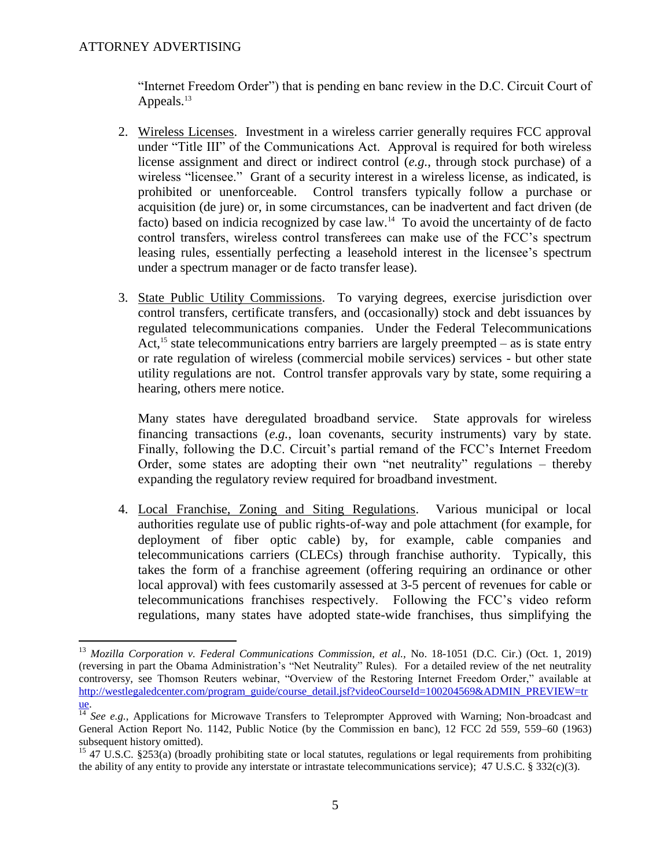$\overline{a}$ 

"Internet Freedom Order") that is pending en banc review in the D.C. Circuit Court of Appeals. $^{13}$ 

- 2. Wireless Licenses. Investment in a wireless carrier generally requires FCC approval under "Title III" of the Communications Act. Approval is required for both wireless license assignment and direct or indirect control (*e.g.*, through stock purchase) of a wireless "licensee." Grant of a security interest in a wireless license, as indicated, is prohibited or unenforceable. Control transfers typically follow a purchase or acquisition (de jure) or, in some circumstances, can be inadvertent and fact driven (de facto) based on indicia recognized by case law.<sup>14</sup> To avoid the uncertainty of de facto control transfers, wireless control transferees can make use of the FCC's spectrum leasing rules, essentially perfecting a leasehold interest in the licensee's spectrum under a spectrum manager or de facto transfer lease).
- 3. State Public Utility Commissions. To varying degrees, exercise jurisdiction over control transfers, certificate transfers, and (occasionally) stock and debt issuances by regulated telecommunications companies. Under the Federal Telecommunications Act, <sup>15</sup> state telecommunications entry barriers are largely preempted – as is state entry or rate regulation of wireless (commercial mobile services) services - but other state utility regulations are not. Control transfer approvals vary by state, some requiring a hearing, others mere notice.

Many states have deregulated broadband service. State approvals for wireless financing transactions (*e.g.*, loan covenants, security instruments) vary by state. Finally, following the D.C. Circuit's partial remand of the FCC's Internet Freedom Order, some states are adopting their own "net neutrality" regulations – thereby expanding the regulatory review required for broadband investment.

4. Local Franchise, Zoning and Siting Regulations. Various municipal or local authorities regulate use of public rights-of-way and pole attachment (for example, for deployment of fiber optic cable) by, for example, cable companies and telecommunications carriers (CLECs) through franchise authority. Typically, this takes the form of a franchise agreement (offering requiring an ordinance or other local approval) with fees customarily assessed at 3-5 percent of revenues for cable or telecommunications franchises respectively. Following the FCC's video reform regulations, many states have adopted state-wide franchises, thus simplifying the

<sup>13</sup> *Mozilla Corporation v. Federal Communications Commission, et al.,* No. 18-1051 (D.C. Cir.) (Oct. 1, 2019) (reversing in part the Obama Administration's "Net Neutrality" Rules). For a detailed review of the net neutrality controversy, see Thomson Reuters webinar, "Overview of the Restoring Internet Freedom Order," available at [http://westlegaledcenter.com/program\\_guide/course\\_detail.jsf?videoCourseId=100204569&ADMIN\\_PREVIEW=tr](http://westlegaledcenter.com/program_guide/course_detail.jsf?videoCourseId=100204569&ADMIN_PREVIEW=true) [ue.](http://westlegaledcenter.com/program_guide/course_detail.jsf?videoCourseId=100204569&ADMIN_PREVIEW=true)

 $\frac{14}{14}$  *See e.g.*, Applications for Microwave Transfers to Teleprompter Approved with Warning; Non-broadcast and General Action Report No. 1142, Public Notice (by the Commission en banc), 12 FCC 2d 559, 559–60 (1963) subsequent history omitted).

<sup>&</sup>lt;sup>15</sup> 47 U.S.C. §253(a) (broadly prohibiting state or local statutes, regulations or legal requirements from prohibiting the ability of any entity to provide any interstate or intrastate telecommunications service); 47 U.S.C. § 332(c)(3).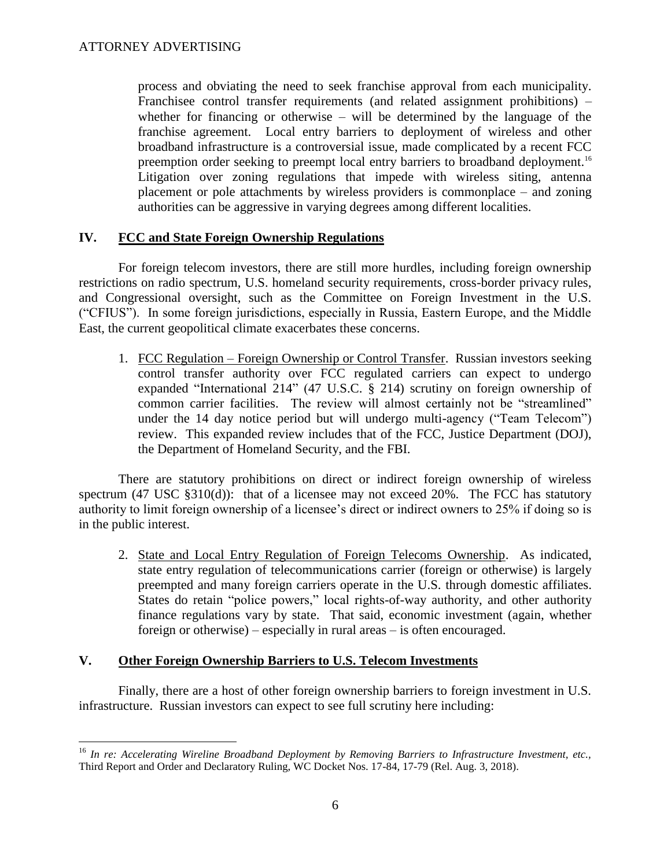process and obviating the need to seek franchise approval from each municipality. Franchisee control transfer requirements (and related assignment prohibitions) – whether for financing or otherwise – will be determined by the language of the franchise agreement. Local entry barriers to deployment of wireless and other broadband infrastructure is a controversial issue, made complicated by a recent FCC preemption order seeking to preempt local entry barriers to broadband deployment.<sup>16</sup> Litigation over zoning regulations that impede with wireless siting, antenna placement or pole attachments by wireless providers is commonplace – and zoning authorities can be aggressive in varying degrees among different localities.

# **IV. FCC and State Foreign Ownership Regulations**

For foreign telecom investors, there are still more hurdles, including foreign ownership restrictions on radio spectrum, U.S. homeland security requirements, cross-border privacy rules, and Congressional oversight, such as the Committee on Foreign Investment in the U.S. ("CFIUS"). In some foreign jurisdictions, especially in Russia, Eastern Europe, and the Middle East, the current geopolitical climate exacerbates these concerns.

1. FCC Regulation – Foreign Ownership or Control Transfer. Russian investors seeking control transfer authority over FCC regulated carriers can expect to undergo expanded "International 214" (47 U.S.C. § 214) scrutiny on foreign ownership of common carrier facilities. The review will almost certainly not be "streamlined" under the 14 day notice period but will undergo multi-agency ("Team Telecom") review. This expanded review includes that of the FCC, Justice Department (DOJ), the Department of Homeland Security, and the FBI.

There are statutory prohibitions on direct or indirect foreign ownership of wireless spectrum (47 USC §310(d)): that of a licensee may not exceed 20%. The FCC has statutory authority to limit foreign ownership of a licensee's direct or indirect owners to 25% if doing so is in the public interest.

2. State and Local Entry Regulation of Foreign Telecoms Ownership. As indicated, state entry regulation of telecommunications carrier (foreign or otherwise) is largely preempted and many foreign carriers operate in the U.S. through domestic affiliates. States do retain "police powers," local rights-of-way authority, and other authority finance regulations vary by state. That said, economic investment (again, whether foreign or otherwise) – especially in rural areas – is often encouraged.

# **V. Other Foreign Ownership Barriers to U.S. Telecom Investments**

Finally, there are a host of other foreign ownership barriers to foreign investment in U.S. infrastructure. Russian investors can expect to see full scrutiny here including:

 $\overline{a}$ <sup>16</sup> *In re: Accelerating Wireline Broadband Deployment by Removing Barriers to Infrastructure Investment, etc.,*  Third Report and Order and Declaratory Ruling, WC Docket Nos. 17-84, 17-79 (Rel. Aug. 3, 2018).